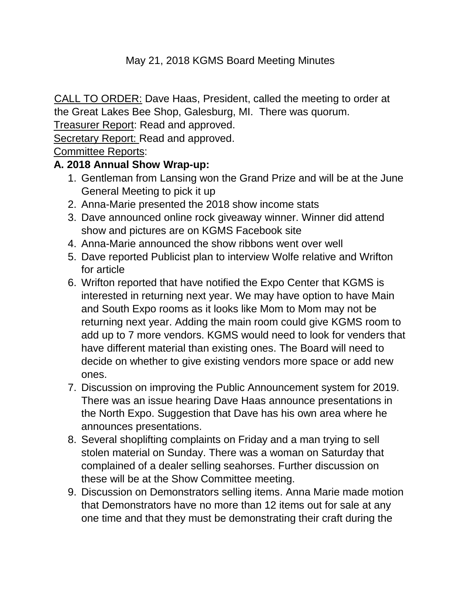#### May 21, 2018 KGMS Board Meeting Minutes

CALL TO ORDER: Dave Haas, President, called the meeting to order at the Great Lakes Bee Shop, Galesburg, MI. There was quorum.

Treasurer Report: Read and approved.

Secretary Report: Read and approved.

Committee Reports:

#### **A. 2018 Annual Show Wrap-up:**

- 1. Gentleman from Lansing won the Grand Prize and will be at the June General Meeting to pick it up
- 2. Anna-Marie presented the 2018 show income stats
- 3. Dave announced online rock giveaway winner. Winner did attend show and pictures are on KGMS Facebook site
- 4. Anna-Marie announced the show ribbons went over well
- 5. Dave reported Publicist plan to interview Wolfe relative and Wrifton for article
- 6. Wrifton reported that have notified the Expo Center that KGMS is interested in returning next year. We may have option to have Main and South Expo rooms as it looks like Mom to Mom may not be returning next year. Adding the main room could give KGMS room to add up to 7 more vendors. KGMS would need to look for venders that have different material than existing ones. The Board will need to decide on whether to give existing vendors more space or add new ones.
- 7. Discussion on improving the Public Announcement system for 2019. There was an issue hearing Dave Haas announce presentations in the North Expo. Suggestion that Dave has his own area where he announces presentations.
- 8. Several shoplifting complaints on Friday and a man trying to sell stolen material on Sunday. There was a woman on Saturday that complained of a dealer selling seahorses. Further discussion on these will be at the Show Committee meeting.
- 9. Discussion on Demonstrators selling items. Anna Marie made motion that Demonstrators have no more than 12 items out for sale at any one time and that they must be demonstrating their craft during the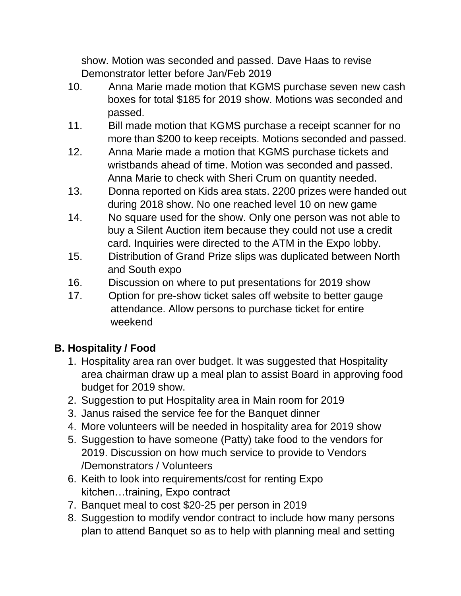show. Motion was seconded and passed. Dave Haas to revise Demonstrator letter before Jan/Feb 2019

- 10. Anna Marie made motion that KGMS purchase seven new cash boxes for total \$185 for 2019 show. Motions was seconded and passed.
- 11. Bill made motion that KGMS purchase a receipt scanner for no more than \$200 to keep receipts. Motions seconded and passed.
- 12. Anna Marie made a motion that KGMS purchase tickets and wristbands ahead of time. Motion was seconded and passed. Anna Marie to check with Sheri Crum on quantity needed.
- 13. Donna reported on Kids area stats. 2200 prizes were handed out during 2018 show. No one reached level 10 on new game
- 14. No square used for the show. Only one person was not able to buy a Silent Auction item because they could not use a credit card. Inquiries were directed to the ATM in the Expo lobby.
- 15. Distribution of Grand Prize slips was duplicated between North and South expo
- 16. Discussion on where to put presentations for 2019 show
- 17. Option for pre-show ticket sales off website to better gauge attendance. Allow persons to purchase ticket for entire weekend

# **B. Hospitality / Food**

- 1. Hospitality area ran over budget. It was suggested that Hospitality area chairman draw up a meal plan to assist Board in approving food budget for 2019 show.
- 2. Suggestion to put Hospitality area in Main room for 2019
- 3. Janus raised the service fee for the Banquet dinner
- 4. More volunteers will be needed in hospitality area for 2019 show
- 5. Suggestion to have someone (Patty) take food to the vendors for 2019. Discussion on how much service to provide to Vendors /Demonstrators / Volunteers
- 6. Keith to look into requirements/cost for renting Expo kitchen…training, Expo contract
- 7. Banquet meal to cost \$20-25 per person in 2019
- 8. Suggestion to modify vendor contract to include how many persons plan to attend Banquet so as to help with planning meal and setting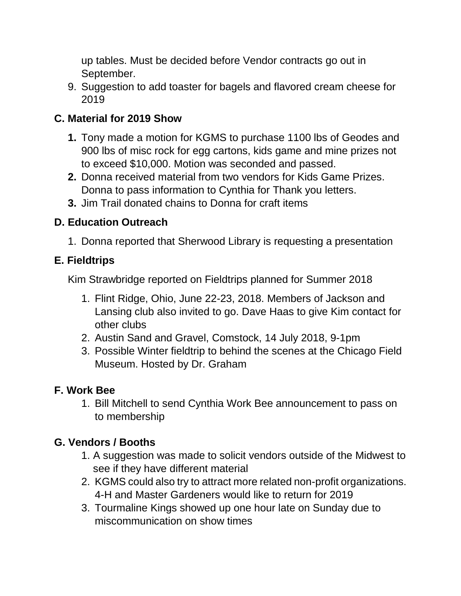up tables. Must be decided before Vendor contracts go out in September.

9. Suggestion to add toaster for bagels and flavored cream cheese for 2019

## **C. Material for 2019 Show**

- **1.** Tony made a motion for KGMS to purchase 1100 lbs of Geodes and 900 lbs of misc rock for egg cartons, kids game and mine prizes not to exceed \$10,000. Motion was seconded and passed.
- **2.** Donna received material from two vendors for Kids Game Prizes. Donna to pass information to Cynthia for Thank you letters.
- **3.** Jim Trail donated chains to Donna for craft items

### **D. Education Outreach**

1. Donna reported that Sherwood Library is requesting a presentation

### **E. Fieldtrips**

Kim Strawbridge reported on Fieldtrips planned for Summer 2018

- 1. Flint Ridge, Ohio, June 22-23, 2018. Members of Jackson and Lansing club also invited to go. Dave Haas to give Kim contact for other clubs
- 2. Austin Sand and Gravel, Comstock, 14 July 2018, 9-1pm
- 3. Possible Winter fieldtrip to behind the scenes at the Chicago Field Museum. Hosted by Dr. Graham

# **F. Work Bee**

1. Bill Mitchell to send Cynthia Work Bee announcement to pass on to membership

# **G. Vendors / Booths**

- 1. A suggestion was made to solicit vendors outside of the Midwest to see if they have different material
- 2. KGMS could also try to attract more related non-profit organizations. 4-H and Master Gardeners would like to return for 2019
- 3. Tourmaline Kings showed up one hour late on Sunday due to miscommunication on show times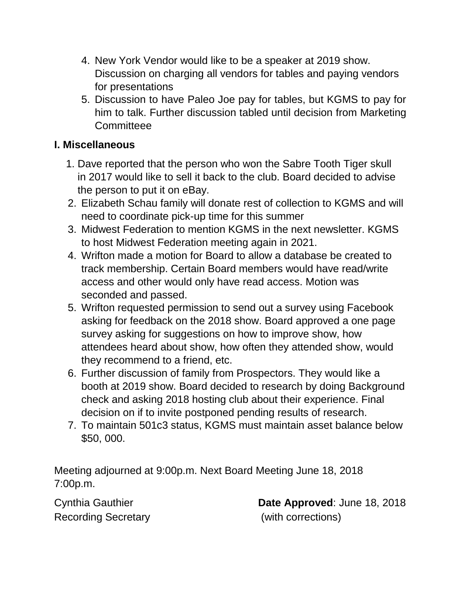- 4. New York Vendor would like to be a speaker at 2019 show. Discussion on charging all vendors for tables and paying vendors for presentations
- 5. Discussion to have Paleo Joe pay for tables, but KGMS to pay for him to talk. Further discussion tabled until decision from Marketing **Committeee**

#### **I. Miscellaneous**

- 1. Dave reported that the person who won the Sabre Tooth Tiger skull in 2017 would like to sell it back to the club. Board decided to advise the person to put it on eBay.
- 2. Elizabeth Schau family will donate rest of collection to KGMS and will need to coordinate pick-up time for this summer
- 3. Midwest Federation to mention KGMS in the next newsletter. KGMS to host Midwest Federation meeting again in 2021.
- 4. Wrifton made a motion for Board to allow a database be created to track membership. Certain Board members would have read/write access and other would only have read access. Motion was seconded and passed.
- 5. Wrifton requested permission to send out a survey using Facebook asking for feedback on the 2018 show. Board approved a one page survey asking for suggestions on how to improve show, how attendees heard about show, how often they attended show, would they recommend to a friend, etc.
- 6. Further discussion of family from Prospectors. They would like a booth at 2019 show. Board decided to research by doing Background check and asking 2018 hosting club about their experience. Final decision on if to invite postponed pending results of research.
- 7. To maintain 501c3 status, KGMS must maintain asset balance below \$50, 000.

Meeting adjourned at 9:00p.m. Next Board Meeting June 18, 2018 7:00p.m.

Recording Secretary **Example 20** (with corrections)

Cynthia Gauthier **Date Approved**: June 18, 2018